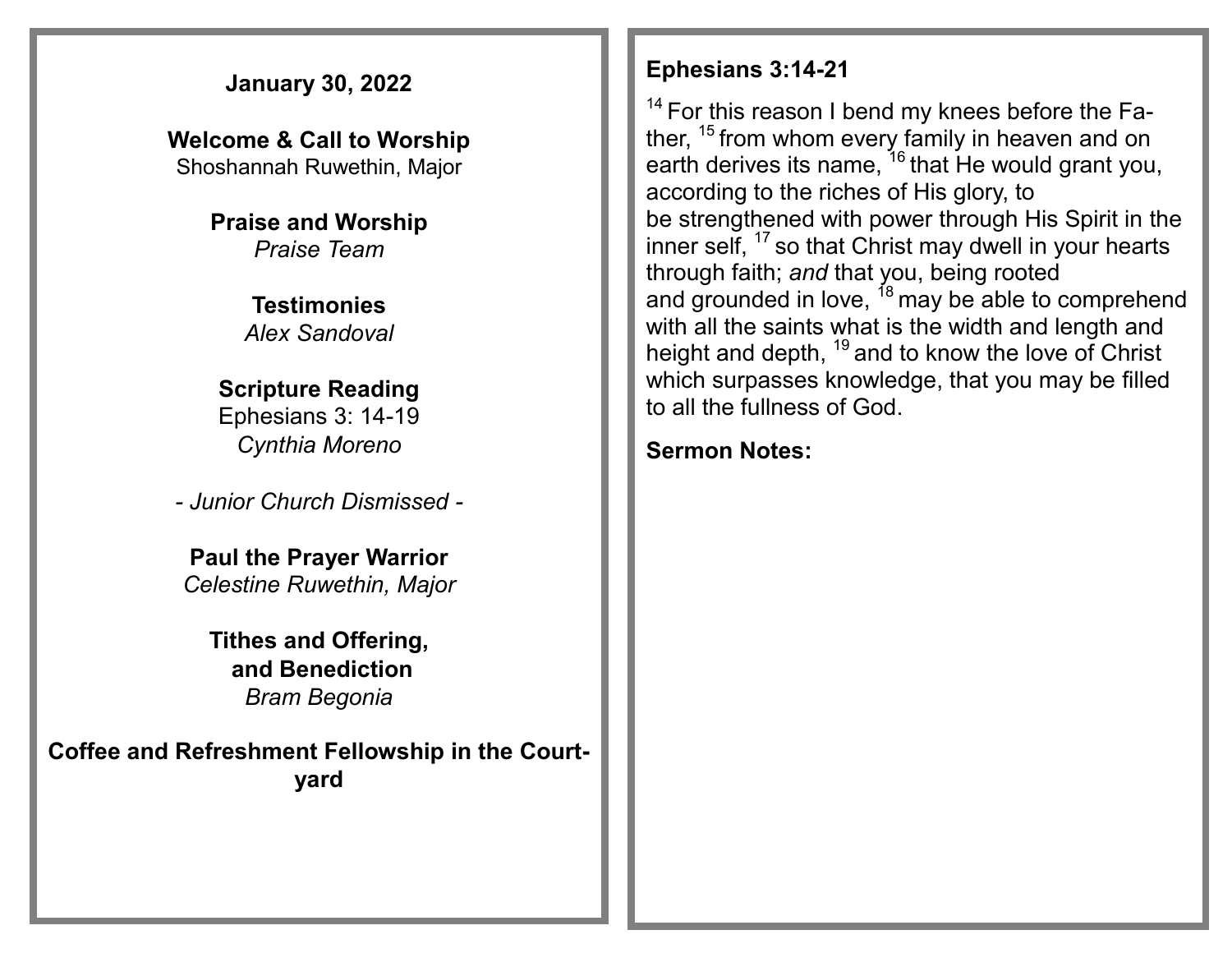### **January 30, 2022**

**Welcome & Call to Worship**  Shoshannah Ruwethin, Major

> **Praise and Worship** *Praise Team*

> > **Testimonies** *Alex Sandoval*

#### **Scripture Reading** Ephesians 3: 14-19 *Cynthia Moreno*

*- Junior Church Dismissed -*

**Paul the Prayer Warrior** *Celestine Ruwethin, Major*

**Tithes and Offering, and Benediction** *Bram Begonia* 

**Coffee and Refreshment Fellowship in the Courtyard**

#### **Ephesians 3:14-21**

 $14$  For this reason I bend my knees before the Father,  $15$  from whom every family in heaven and on earth derives its name, <sup>16</sup> that He would grant you, according to the riches of His glory, to be strengthened with power through His Spirit in the inner self, <sup>17</sup> so that Christ may dwell in your hearts through faith; *and* that you, being rooted and grounded in love,  $18$  may be able to comprehend with all the saints what is the width and length and height and depth, <sup>19</sup> and to know the love of Christ which surpasses knowledge, that you may be filled to all the fullness of God.

### **Sermon Notes:**